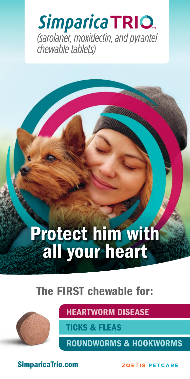**Simparica TRIO** (sarolaner, moxidectin, and pyrantel chewable tablets)

# Protect him with all your heart

## The FIRST chewable for:



HEARTWORM DISEASE

TICKS & FLEAS

ROUNDWORMS & HOOKWORMS

SimparicaTrio.com

**ZOETIS PETCARE**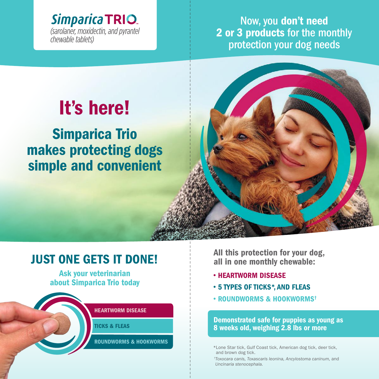**Simparica TRIO** (sarolaner, moxidectin, and pyrantel *chewable tablets*)

Now, you don't need 2 or 3 products for the monthly protection your dog needs

I I I I I I I I I I I I I I I I I I I I I I I I I I I I I I I I I I I I I I I I I I I I I I I I I I I I I I I I I I I I I I I I I I I I I I I I I I I I I I

# It's here!

Simparica Trio makes protecting dogs simple and convenient

## JUST ONE GETS IT DONE!

Ask your veterinarian about Simparica Trio today



### HEARTWORM DISEASE

TICKS & FLEAS

ROUNDWORMS & HOOKWORMS

All this protection for your dog, all in one monthly chewable:

- HEARTWORM DISEASE
- 5 TYPES OF TICKS\*, AND FLEAS
- ROUNDWORMS & HOOKWORMS†

Demonstrated safe for puppies as young as 8 weeks old, weighing 2.8 lbs or more

\*Lone Star tick, Gulf Coast tick, American dog tick, deer tick, and brown dog tick.

 † *Toxocara canis, Toxascaris leonina, Ancylostoma caninum,* and *Uncinaria stenocephala.*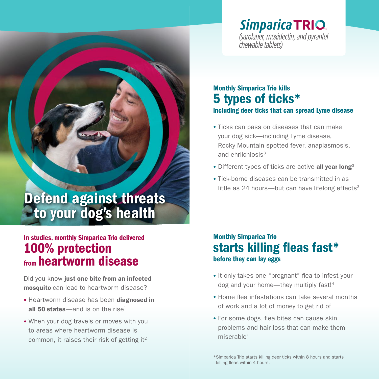## **Simparica TRIO**

I I I I I I I I I I I I I I I I I I I I I I I I I I I I I I I I I I I I I I I I I I I I I I I I I I I I I I I I I I I I I I I I I I I I I I I I I I I I I I I I I I I I I I I I I I

(sarolaner, moxidectin, and pyrantel chewable tablets)

## Monthly Simparica Trio kills 5 types of ticks\* including deer ticks that can spread Lyme disease

- Ticks can pass on diseases that can make your dog sick—including Lyme disease, Rocky Mountain spotted fever, anaplasmosis, and ehrlichiosis<sup>3</sup>
- Different types of ticks are active all year long<sup>3</sup>
- Tick-borne diseases can be transmitted in as little as  $24$  hours—but can have lifelong effects<sup>3</sup>

## Defend against threats to your dog's health

## In studies, monthly Simparica Trio delivered 100% protection from heartworm disease

Did you know just one bite from an infected mosquito can lead to heartworm disease?

- Heartworm disease has been diagnosed in all 50 states—and is on the rise $1$
- When your dog travels or moves with you to areas where heartworm disease is common, it raises their risk of getting  $it^2$

## Monthly Simparica Trio starts killing fleas fast\* before they can lay eggs

- It only takes one "pregnant" flea to infest your dog and your home—they multiply fast!4
- Home flea infestations can take several months of work and a lot of money to get rid of
- For some dogs, flea bites can cause skin problems and hair loss that can make them miserable4

\* Simparica Trio starts killing deer ticks within 8 hours and starts killing fleas within 4 hours.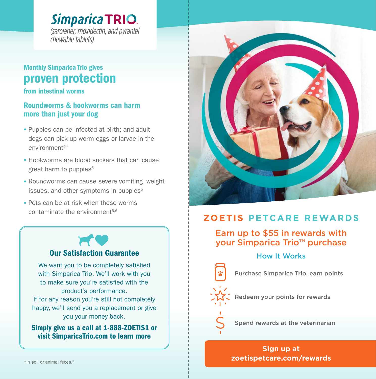**Simparica TRIO** (sarolaner, moxidectin, and pyrantel *chewable tablets*)

## Monthly Simparica Trio gives proven protection

from intestinal worms

### Roundworms & hookworms can harm more than just your dog

- Puppies can be infected at birth; and adult dogs can pick up worm eggs or larvae in the environment<sup>5\*</sup>
- Hookworms are blood suckers that can cause great harm to puppies<sup>6</sup>
- Roundworms can cause severe vomiting, weight issues, and other symptoms in puppies<sup>5</sup>
- Pets can be at risk when these worms contaminate the environment $5,6$



### Our Satisfaction Guarantee

We want you to be completely satisfied with Simparica Trio. We'll work with you to make sure you're satisfied with the product's performance. If for any reason you're still not completely happy, we'll send you a replacement or give you your money back.

Simply give us a call at 1-888-ZOETIS1 or visit SimparicaTrio.com to learn more



## **ZOETIS PETCARE REWARDS**

I I I I I I I I I I I I I I I I I I I I I I I I I I I I I I I I I I I I I I I

### Earn up to \$55 in rewards with your Simparica Trio™ purchase

### How It Works

Purchase Simparica Trio, earn points

Redeem your points for rewards

Spend rewards at the veterinarian

**Sign up at zoetispetcare.com/rewards** Simparica Trio.com and the community of the community of the community of the community of the community of the community of the community of the community of the community of the community of the community of the communit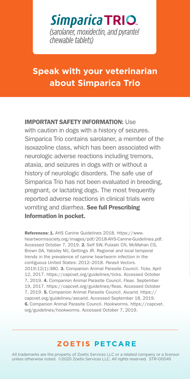## Simparica TRIO. (sarolaner, moxidectin, and pyrantel *chewable* tablets)

## **Speak with your veterinarian about Simparica Trio**

### IMPORTANT SAFETY INFORMATION: Use

with caution in dogs with a history of seizures. Simparica Trio contains sarolaner, a member of the isoxazoline class, which has been associated with neurologic adverse reactions including tremors, ataxia, and seizures in dogs with or without a history of neurologic disorders. The safe use of Simparica Trio has not been evaluated in breeding, pregnant, or lactating dogs. The most frequently reported adverse reactions in clinical trials were vomiting and diarrhea. See full Prescribing Information in pocket.

References: 1. AHS Canine Guidelines 2018. https://www. heartwormsociety.org/images/pdf/2018-AHS-Canine-Guidelines.pdf. Accessed October 7, 2019. 2. Self SW, Pulaski CN, McMahan CS, Brown DA, Yabsley MJ, Gettings JR. Regional and local temporal trends in the prevalence of canine heartworm infection in the contiguous United States: 2012–2018. *Parasit Vectors.*  2019;12(1):380. 3. Companion Animal Parasite Council. *Ticks.* April 12, 2017. https://capcvet.org/guidelines/ticks. Accessed October 7, 2019. 4. Companion Animal Parasite Council. *Fleas*. September 19, 2017. https://capcvet.org/guidelines/fleas. Accessed October 7, 2019. 5. Companion Animal Parasite Council. *Ascarid.* https:// capcvet.org/guidelines/ascarid. Accessed September 18, 2019. 6. Companion Animal Parasite Council. Hookworms. https://capcvet. org/guidelines/hookworms. Accessed October 7, 2019.

### **ZOETIS PETCARE**

All trademarks are the property of Zoetis Services LLC or a related company or a licensor unless otherwise noted. ©2020 Zoetis Services LLC. All rights reserved. STR-00045